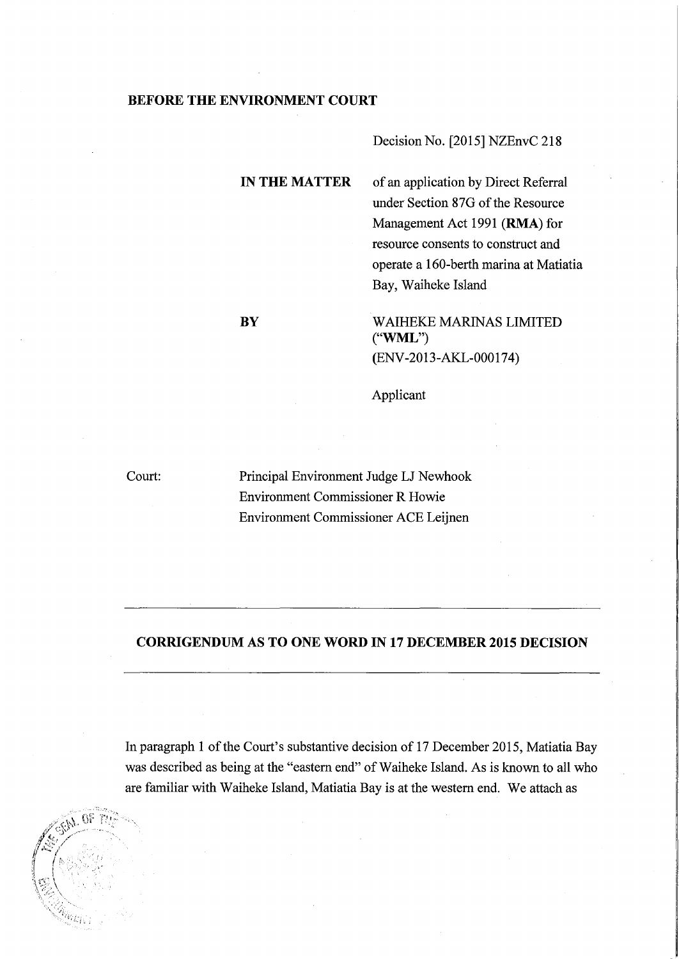## **BEFORE THE ENVIRONMENT COURT**

Decision No. [2015] NZEnvC 218

**IN THE MATTER** of an application by Direct Referral under Section 87G of the Resource Management Act 1991 (RMA) for resource consents to construct and operate a 160-berth marina at Matiatia Bay, Waiheke Island

**BY** WAIHEKE MARINAS LIMITED ("WML") (ENV-2013-AKL-000174)

Applicant

Court:

Principal Environment Judge LJ Newhook Environment Commissioner R Howie Environment Commissioner ACE Leijnen

## **CORRIGENDUM AS TO ONE WORD IN 17 DECEMBER 2015 DECISION**

In paragraph 1 of the Court's substantive decision of 17 December 2015, Matiatia Bay was described as being at the "eastern end" of Waiheke Island. As is known to all who are familiar with Waiheke Island, Matiatia Bay is at the western end. We attach as

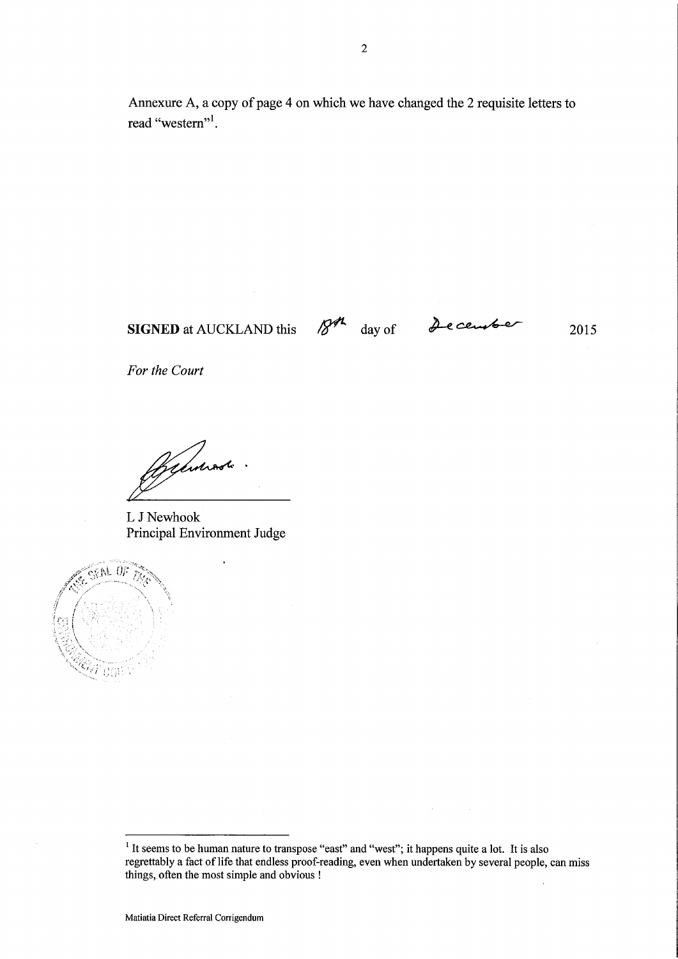Annexure A, a copy of page 4 on which we have changed the 2 requisite letters to read "western"<sup>1</sup>.

**SIGNED** at AUCKLAND this *IS*<sup>*M*</sup> day of *December* 2015

*For the Court* 

~.

L J Newhook Principal Environment Judge



<sup>&</sup>lt;sup>1</sup> It seems to be human nature to transpose "east" and "west"; it happens quite a lot. It is also regrettably a fact of life that endless proof-reading, even when undertaken by several people, can miss things, often the most simple and obvious !